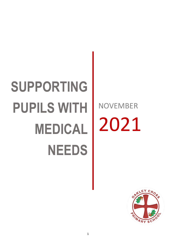# **SUPPORTING PUPILS WITH MEDICAL NEEDS**

NOVEMBER 2021

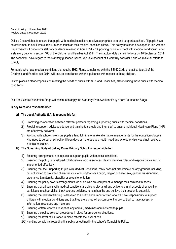Date of policy: November 2021 Review date: November 2022

Oakley Cross wishes to ensure that pupils with medical conditions receive appropriate care and support at school. All pupils have an entitlement to a full-time curriculum or as much as their medical condition allows. This policy has been developed in line with the Department for Education's statutory guidance released in April 2014 – "Supporting pupils at school with medical conditions" under a statutory duty form section 100 of the Children and Families Act 2014. The statutory duty came into force on 1<sup>st</sup> September 2014 The school will have regard to the statutory guidance issued. We take account of it, carefully consider it and we make all efforts to comply.

For pupils who have medical conditions that require EHC Plans, compliance with the SEND Code of practice (part 3 of the Children's and Families Act 2014) will ensure compliance with this guidance with respect to those children.

Ofsted places a clear emphasis on meeting the needs of pupils with SEN and Disabilities, also including those pupils with medical conditions.

Our Early Years Foundation Stage will continue to apply the Statutory Framework for Early Years Foundation Stage.

#### **1) Key roles and responsibilities**

#### **a) The Local Authority (LA) is responsible for:**

- 1) Promoting co-operation between relevant partners regarding supporting pupils with medical conditions.
- 2) Providing support, advice /guidance and training to schools and their staff to ensure Individual Healthcare Plans (IHP) are effectively delivered.
- 3) Working with schools to ensure pupils attend full-time or make alternative arrangements for the education of pupils who need to be out of school for fifteen days or more due to a health need and who otherwise would not receive a suitable education.

#### **b) The Governing Body of Oakley Cross Primary School is responsible for:**

- 1) Ensuring arrangements are in place to support pupils with medical conditions.
- 2) Ensuring the policy is developed collaboratively across services, clearly identifies roles and responsibilities and is implemented effectively.
- 3) Ensuring that the Supporting Pupils with Medical Conditions Policy does not discriminate on any grounds including, but not limited to protected characteristics: ethnicity/national/ origin, religion or belief, sex, gender reassignment, pregnancy & maternity, disability or sexual orientation.
- 4) Ensuring the policy covers arrangements for pupils who are competent to manage their own health needs.
- 5) Ensuring that all pupils with medical conditions are able to play a full and active role in all aspects of school life, participate in school visits / trips/ sporting activities, remain healthy and achieve their academic potential.
- 6) Ensuring that relevant training is delivered to a sufficient number of staff who will have responsibility to support children with medical conditions and that they are signed off as competent to do so. Staff to have access to information, resources and materials.
- 7) Ensuring written records are kept of, any and all, medicines administered to pupils.
- 8) Ensuring the policy sets out procedures in place for emergency situations.
- 9) Ensuring the level of insurance in place reflects the level of risk.
- 10)Handling complaints regarding this policy as outlined in the school's Complaints Policy.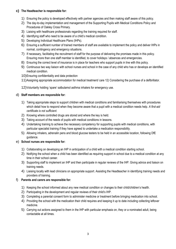#### **c) The Headteacher is responsible for:**

- 1) Ensuring the policy is developed effectively with partner agencies and then making staff aware of this policy.
- 2) The day-to-day implementation and management of the Supporting Pupils with Medical Conditions Policy and Procedures of Oakley Cross Primary.
- 3) Liaising with healthcare professionals regarding the training required for staff.
- 4) Identifying staff who need to be aware of a child's medical condition.
- 5) Developing Individual Healthcare Plans (IHPs).
- 6) Ensuring a sufficient number of trained members of staff are available to implement the policy and deliver IHPs in normal, contingency and emergency situations.
- 7) If necessary, facilitating the recruitment of staff for the purpose of delivering the promises made in this policy. Ensuring more than one staff member is identified, to cover holidays / absences and emergencies.
- 8) Ensuring the correct level of insurance is in place for teachers who support pupils in line with this policy.
- 9) Continuous two way liaison with school nurses and school in the case of any child who has or develops an identified medical condition.
- 10)Ensuring confidentiality and data protection
- 11)Assigning appropriate accommodation for medical treatment/ care 12) Considering the purchase of a defibrillator.
- 12)Voluntarily holding 'spare' salbutamol asthma inhalers for emergency use.

#### d) **Staff members are responsible for:**

- 1) Taking appropriate steps to support children with medical conditions and familiarising themselves with procedures which detail how to respond when they become aware that a pupil with a medical condition needs help. *A first-aid certificate is not sufficient*.
- 2) Knowing where controlled drugs are stored and where the key is held.
- 3) Taking account of the needs of pupils with medical conditions in lessons.
- 4) Undertaking training to achieve the necessary competency for supporting pupils with medical conditions, with particular specialist training if they have agreed to undertake a medication responsibility.
- 5) Allowing inhalers, adrenalin pens and blood glucose testers to be held in an accessible location, following DfE guidance.

#### e) **School nurses are responsible for:**

- 1) Collaborating on developing an IHP in anticipation of a child with a medical condition starting school.
- 2) Notifying the school when a child has been identified as requiring support in school due to a medical condition at any time in their school career.
- 3) Supporting staff to implement an IHP and then participate in regular reviews of the IHP. Giving advice and liaison on training needs.
- 4) Liaising locally with lead clinicians on appropriate support. Assisting the Headteacher in identifying training needs and providers of training.

#### f) **Parents and carers are responsible for:**

- 1) Keeping the school informed about any new medical condition or changes to their child/children's health.
- 2) Participating in the development and regular reviews of their child's IHP.
- 3) Completing a parental consent form to administer medicine or treatment before bringing medication into school.
- 4) Providing the school with the medication their child requires and keeping it up to date including collecting leftover medicine.
- 5) Carrying out actions assigned to them in the IHP with particular emphasis on, they or a nominated adult, being contactable at all times.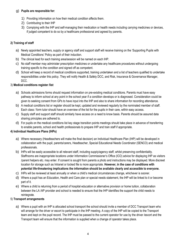## g) **Pupils are responsible for:**

- 1) Providing information on how their medical condition affects them.
- 2) Contributing to their IHP
- 3) Complying with the IHP and self-managing their medication or health needs including carrying medicines or devices, if judged competent to do so by a healthcare professional and agreed by parents.

# **2) Training of staff**

- a) Newly appointed teachers, supply or agency staff and support staff will receive training on the 'Supporting Pupils with Medical Conditions' Policy as part of their induction.
- b) The clinical lead for each training area/session will be named on each IHP.
- c) No staff member may administer prescription medicines or undertake any healthcare procedures without undergoing training specific to the condition and signed off as competent.
- d) School will keep a record of medical conditions supported, training undertaken and a list of teachers qualified to undertake responsibilities under this policy. They will notify Health & Safety DCC, and Risk, Insurance & Governance Manager, DCC.

## 3) **Medical conditions register /list**

- a) Schools admissions forms should request information on pre-existing medical conditions. Parents must have easy pathway to inform school at any point in the school year if a condition develops or is diagnosed. Consideration could be given to seeking consent from GPs to have input into the IHP and also to share information for recording attendance.
- b) A medical conditions list or register should be kept, updated and reviewed regularly by the nominated member of staff. Each class / form tutor should have an overview of the list for the pupils in their care, within easy access.
- c) Supply staff and support staff should similarly have access on a need to know basis. Parents should be assured data sharing principles are adhered to.
- d) For pupils on the medical conditions list key stage transition points meetings should take place in advance of transferring to enable parents, school and health professionals to prepare IHP and train staff if appropriate.

## **4) Individual Healthcare Plans (IHPs)**

- a) Where necessary (Headteachers will make the final decision) an Individual Healthcare Plan (IHP) will be developed in collaboration with the pupil, parents/carers, Headteacher, Special Educational Needs Coordinator (SENCO) and medical professionals.
- b) IHPs will be easily accessible to all relevant staff, including supply/agency staff, whilst preserving confidentiality. Staffrooms are inappropriate locations under Information Commissioner's Office (ICO) advice for displaying IHP as visitors /parent helpers etc. may enter. If consent is sought from parents a photo and instructions may be displayed. More discreet location for storage such as Intranet or locked file is more appropriate. **However, in the case of conditions with potential life-threatening implications the information should be available clearly and accessible to everyone.**
- c) IHPs will be reviewed at least annually or when a child's medical circumstances change, whichever is sooner.
- d) Where a pupil has an Education, Health and Care plan or special needs statement, the IHP will be linked to it or become part of it.
- e) Where a child is returning from a period of hospital education or alternative provision or home tuition, collaboration between the LA /AP provider and school is needed to ensure that the IHP identifies the support the child needs to reintegrate.

## 5) **Transport arrangements**

a) Where a pupil with an IHP is allocated school transport the school should invite a member of DCC Transport team who will arrange for the driver or escort to participate in the IHP meeting. A copy of the IHP will be copied to the Transport team and kept on the pupil record. The IHP must be passed to the current operator for use by the driver /escort and the Transport team will ensure that the information is supplied when a change of operator takes place.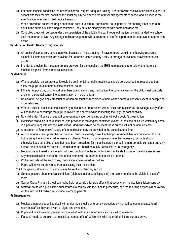- b) For some medical conditions the driver/ escort will require adequate training. For pupils who receive specialised support in school with their medical condition this must equally be planned for in travel arrangements to school and included in the specification to tender for that pupil's transport.
- c) When prescribed controlled drugs need to be sent in to school, parents will be responsible for handing them over to the adult in the car in a suitable bag or container. They must be clearly labelled with name and dose etc.
- d) Controlled drugs will be kept under the supervision of the adult in the car throughout the journey and handed to a school staff member on arrival. Any change in this arrangement will be reported to the Transport team for approval or appropriate action.

# 6) **Education Health Needs (EHN) referrals**

- a) All pupils of compulsory school age who because of illness, lasting 15 days or more, would not otherwise receive a suitable full-time education are provided for under the local authority's duty to arrange educational provision for such pupils.
- b) In order to provide the most appropriate provision for the condition the EHN team accepts referrals where there is a medical diagnosis from a medical consultant.

## **7) Medicines**

- a) Where possible, unless advised it would be detrimental to health, medicines should be prescribed in frequencies that allow the pupil to take them outside of school hours.
- b) If this is not possible, prior to staff members administering any medication, the parents/carers of the child must complete and sign a parental consent to administration of medicine form.
- c) No child will be given any prescription or non-prescription medicines without written parental consent except in exceptional circumstances.
- d) Where a pupil is prescribed medication by a healthcare professional without their parents'/carers' knowledge, every effort will be made to encourage the pupil to involve their parents while respecting their right to confidentiality.
- e) No child under 16 years of age will be given medication containing aspirin without a doctor's prescription.
- f) Medicines MUST be in date, labelled, and provided in the original container (except in the case of insulin which may come in a pen or pump) with dosage instructions. Medicines which do not meet these criteria will not be administered.
- g) A maximum of **four** weeks' supply of the medication may be provided to the school at one time.
- h) A child who has been prescribed a controlled drug may legally have it in their possession if they are competent to do so, but passing it to another child for use is an offence. Monitoring arrangements may be necessary. Schools should otherwise keep controlled drugs that have been prescribed for a pupil securely stored in a non-portable container and only named staff should have access. Controlled drugs should be easily accessible in an emergency.
- i) Medications will usually be stored in a locked cupboard in the school office or in the staff room refrigerator if necessary.
- j) Any medications left over at the end of the course will be returned to the child's parents.
- k) Written records will be kept of any medication administered to children.
- l) Pupils will never be prevented from accessing their medication.
- m) Emergency salbutamol inhaler kits may be kept voluntarily by school
- n) General posters about medical conditions (diabetes, asthma, epilepsy etc.) are recommended to be visible in the staff room
- o) Oakley Cross Primary School cannot be held responsible for side effects that occur when medication is taken correctly.
- p) Staff will not force a pupil, if the pupil refuses to comply with their health procedure, and the resulting actions will be clearly written into the IHP which will include informing parents.

# **8) Emergencies**

- a) Medical emergencies will be dealt with under the school's emergency procedures which will be communicated to all relevant staff so they are aware of signs and symptoms.
- b) Pupils will be informed in general terms of what to do in an emergency such as telling a teacher.
- c) If a pupil needs to be taken to hospital, a member of staff will remain with the child until their parents arrive.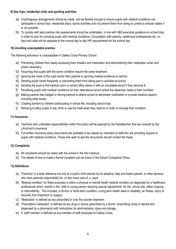#### **9) Day trips, residential visits and sporting activities**

- a) Unambiguous arrangements should be made and be flexible enough to ensure pupils with medical conditions can participate in school trips, residential stays, sports activities and not prevent them from doing so unless a clinician states it is not possible.
- b) To comply with best practice risk assessments should be undertaken, in line with H&S executive guidance on school trips, in order to plan for including pupils with medical conditions. Consultation with parents, healthcare professionals etc. on trips and visits will be separate to the normal day to day IHP requirements for the school day.

#### **10) Avoiding unacceptable practice**

The following behaviour is unacceptable in Oakley Cross Primary School:

- a) Preventing children from easily accessing their inhalers and medication and administering their medication when and where necessary.
- b) Assuming that pupils with the same condition require the same treatment.
- c) Ignoring the views of the pupil and/or their parents or ignoring medical evidence or opinion.
- d) Sending pupils home frequently or preventing them from taking part in activities at school
- e) Sending the pupil to the medical room or school office alone or with an unsuitable escort if they become ill.
- f) Penalising pupils with medical conditions for their attendance record where the absences relate to their condition.
- g) Making parents feel obliged or forcing parents to attend school to administer medication or provide medical support, including toilet issues.
- h) Creating barriers to children participating in school life, including school trips.
- i) Refusing to allow pupils to eat, drink or use the toilet when they need to in order to manage their condition.

#### **11) Insurance**

- a) Teachers who undertake responsibilities within this policy will be assured by the Headteacher that are covered by the LA/school's insurance.
- b) Full written insurance policy documents are available to be viewed by members of staff who are providing support to pupils with medical conditions. Those who wish to see the documents should contact the Head.

## **12) Complaints**

- a) All complaints should be raised with the school in the first instance.
- b) The details of how to make a formal complaint can be found in the School Complaints Policy.

## **13) Definitions**

- a) 'Parent(s)' is a wide reference not only to a pupil's birth parents but to adoptive, step and foster parents, or other persons who have parental responsibility for, or who have care of, a pupil.
- b) 'Medical condition' for these purposes is either a physical or mental health medical condition as diagnosed by a healthcare professional which results in the child or young person requiring special adjustments for the school day, either ongoing or intermittently. This includes; a chronic or short-term condition, a long-term health need or disability, an illness, injury or recovery from treatment or surgery.
- c) 'Medication' is defined as any prescribed or over the counter treatment.
- d) 'Prescription medication' is defined as any drug or device prescribed by a doctor, prescribing nurse or dentist and dispensed by a pharmacist with instructions for administration, dose and storage.
- e) A 'staff member' is defined as any member of staff employed at Oakley Cross.